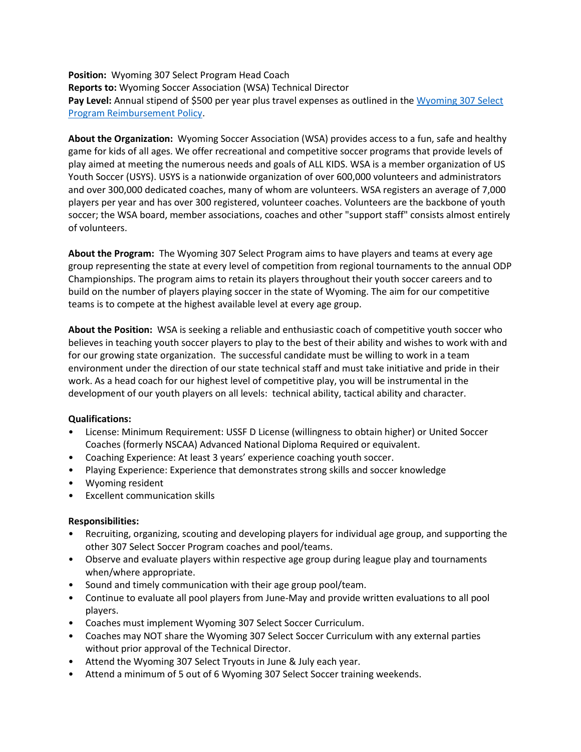**Position:** Wyoming 307 Select Program Head Coach **Reports to:** Wyoming Soccer Association (WSA) Technical Director Pay Level: Annual stipend of \$500 per year plus travel expenses as outlined in the Wyoming 307 Select [Program Reimbursement Policy.](https://usys-assets.ae-admin.com/assets/961/15/Wyoming%20307%20Select%20Reimbursement%20Policy.pdf)

**About the Organization:** Wyoming Soccer Association (WSA) provides access to a fun, safe and healthy game for kids of all ages. We offer recreational and competitive soccer programs that provide levels of play aimed at meeting the numerous needs and goals of ALL KIDS. WSA is a member organization of US Youth Soccer (USYS). USYS is a nationwide organization of over 600,000 volunteers and administrators and over 300,000 dedicated coaches, many of whom are volunteers. WSA registers an average of 7,000 players per year and has over 300 registered, volunteer coaches. Volunteers are the backbone of youth soccer; the WSA board, member associations, coaches and other "support staff" consists almost entirely of volunteers.

**About the Program:** The Wyoming 307 Select Program aims to have players and teams at every age group representing the state at every level of competition from regional tournaments to the annual ODP Championships. The program aims to retain its players throughout their youth soccer careers and to build on the number of players playing soccer in the state of Wyoming. The aim for our competitive teams is to compete at the highest available level at every age group.

**About the Position:** WSA is seeking a reliable and enthusiastic coach of competitive youth soccer who believes in teaching youth soccer players to play to the best of their ability and wishes to work with and for our growing state organization. The successful candidate must be willing to work in a team environment under the direction of our state technical staff and must take initiative and pride in their work. As a head coach for our highest level of competitive play, you will be instrumental in the development of our youth players on all levels: technical ability, tactical ability and character.

## **Qualifications:**

- License: Minimum Requirement: USSF D License (willingness to obtain higher) or United Soccer Coaches (formerly NSCAA) Advanced National Diploma Required or equivalent.
- Coaching Experience: At least 3 years' experience coaching youth soccer.
- Playing Experience: Experience that demonstrates strong skills and soccer knowledge
- Wyoming resident
- Excellent communication skills

## **Responsibilities:**

- Recruiting, organizing, scouting and developing players for individual age group, and supporting the other 307 Select Soccer Program coaches and pool/teams.
- Observe and evaluate players within respective age group during league play and tournaments when/where appropriate.
- Sound and timely communication with their age group pool/team.
- Continue to evaluate all pool players from June-May and provide written evaluations to all pool players.
- Coaches must implement Wyoming 307 Select Soccer Curriculum.
- Coaches may NOT share the Wyoming 307 Select Soccer Curriculum with any external parties without prior approval of the Technical Director.
- Attend the Wyoming 307 Select Tryouts in June & July each year.
- Attend a minimum of 5 out of 6 Wyoming 307 Select Soccer training weekends.